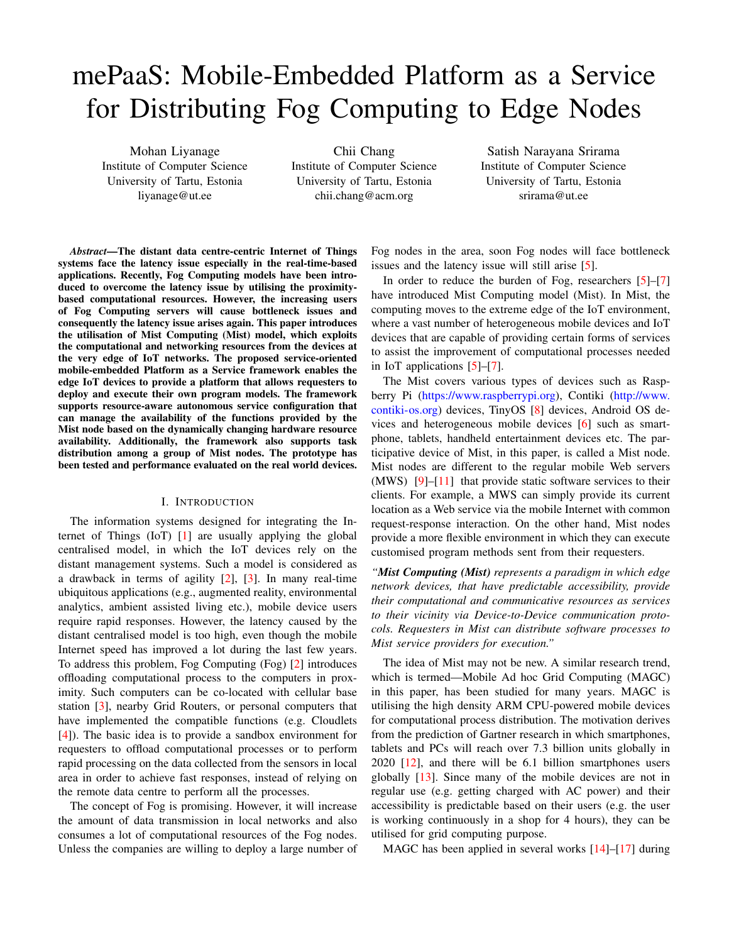# mePaaS: Mobile-Embedded Platform as a Service for Distributing Fog Computing to Edge Nodes

Mohan Liyanage Institute of Computer Science University of Tartu, Estonia liyanage@ut.ee

Chii Chang Institute of Computer Science University of Tartu, Estonia chii.chang@acm.org

Satish Narayana Srirama Institute of Computer Science University of Tartu, Estonia srirama@ut.ee

*Abstract*—The distant data centre-centric Internet of Things systems face the latency issue especially in the real-time-based applications. Recently, Fog Computing models have been introduced to overcome the latency issue by utilising the proximitybased computational resources. However, the increasing users of Fog Computing servers will cause bottleneck issues and consequently the latency issue arises again. This paper introduces the utilisation of Mist Computing (Mist) model, which exploits the computational and networking resources from the devices at the very edge of IoT networks. The proposed service-oriented mobile-embedded Platform as a Service framework enables the edge IoT devices to provide a platform that allows requesters to deploy and execute their own program models. The framework supports resource-aware autonomous service configuration that can manage the availability of the functions provided by the Mist node based on the dynamically changing hardware resource availability. Additionally, the framework also supports task distribution among a group of Mist nodes. The prototype has been tested and performance evaluated on the real world devices.

#### I. INTRODUCTION

The information systems designed for integrating the Internet of Things (IoT) [\[1\]](#page-7-0) are usually applying the global centralised model, in which the IoT devices rely on the distant management systems. Such a model is considered as a drawback in terms of agility [\[2\]](#page-7-1), [\[3\]](#page-7-2). In many real-time ubiquitous applications (e.g., augmented reality, environmental analytics, ambient assisted living etc.), mobile device users require rapid responses. However, the latency caused by the distant centralised model is too high, even though the mobile Internet speed has improved a lot during the last few years. To address this problem, Fog Computing (Fog) [\[2\]](#page-7-1) introduces offloading computational process to the computers in proximity. Such computers can be co-located with cellular base station [\[3\]](#page-7-2), nearby Grid Routers, or personal computers that have implemented the compatible functions (e.g. Cloudlets [\[4\]](#page-7-3)). The basic idea is to provide a sandbox environment for requesters to offload computational processes or to perform rapid processing on the data collected from the sensors in local area in order to achieve fast responses, instead of relying on the remote data centre to perform all the processes.

The concept of Fog is promising. However, it will increase the amount of data transmission in local networks and also consumes a lot of computational resources of the Fog nodes. Unless the companies are willing to deploy a large number of Fog nodes in the area, soon Fog nodes will face bottleneck issues and the latency issue will still arise [\[5\]](#page-7-4).

In order to reduce the burden of Fog, researchers [\[5\]](#page-7-4)–[\[7\]](#page-7-5) have introduced Mist Computing model (Mist). In Mist, the computing moves to the extreme edge of the IoT environment, where a vast number of heterogeneous mobile devices and IoT devices that are capable of providing certain forms of services to assist the improvement of computational processes needed in IoT applications [\[5\]](#page-7-4)–[\[7\]](#page-7-5).

The Mist covers various types of devices such as Raspberry Pi [\(https://www.raspberrypi.org\)](https://www.raspberrypi.org), Contiki [\(http://www.](http://www.contiki-os.org) [contiki-os.org\)](http://www.contiki-os.org) devices, TinyOS [\[8\]](#page-7-6) devices, Android OS devices and heterogeneous mobile devices [\[6\]](#page-7-7) such as smartphone, tablets, handheld entertainment devices etc. The participative device of Mist, in this paper, is called a Mist node. Mist nodes are different to the regular mobile Web servers  $(MWS)$  [\[9\]](#page-7-8)–[\[11\]](#page-7-9) that provide static software services to their clients. For example, a MWS can simply provide its current location as a Web service via the mobile Internet with common request-response interaction. On the other hand, Mist nodes provide a more flexible environment in which they can execute customised program methods sent from their requesters.

*"Mist Computing (Mist) represents a paradigm in which edge network devices, that have predictable accessibility, provide their computational and communicative resources as services to their vicinity via Device-to-Device communication protocols. Requesters in Mist can distribute software processes to Mist service providers for execution."*

The idea of Mist may not be new. A similar research trend, which is termed—Mobile Ad hoc Grid Computing (MAGC) in this paper, has been studied for many years. MAGC is utilising the high density ARM CPU-powered mobile devices for computational process distribution. The motivation derives from the prediction of Gartner research in which smartphones, tablets and PCs will reach over 7.3 billion units globally in 2020 [\[12\]](#page-7-10), and there will be 6.1 billion smartphones users globally [\[13\]](#page-7-11). Since many of the mobile devices are not in regular use (e.g. getting charged with AC power) and their accessibility is predictable based on their users (e.g. the user is working continuously in a shop for 4 hours), they can be utilised for grid computing purpose.

MAGC has been applied in several works [\[14\]](#page-7-12)–[\[17\]](#page-7-13) during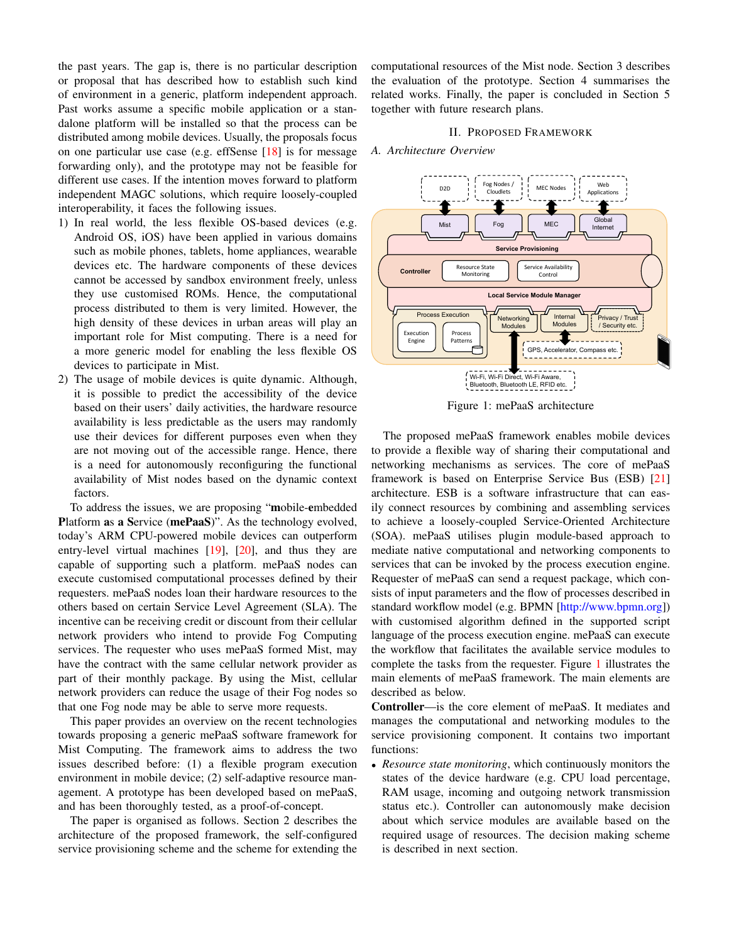the past years. The gap is, there is no particular description or proposal that has described how to establish such kind of environment in a generic, platform independent approach. Past works assume a specific mobile application or a standalone platform will be installed so that the process can be distributed among mobile devices. Usually, the proposals focus on one particular use case (e.g. effSense [\[18\]](#page-7-14) is for message forwarding only), and the prototype may not be feasible for different use cases. If the intention moves forward to platform independent MAGC solutions, which require loosely-coupled interoperability, it faces the following issues.

- 1) In real world, the less flexible OS-based devices (e.g. Android OS, iOS) have been applied in various domains such as mobile phones, tablets, home appliances, wearable devices etc. The hardware components of these devices cannot be accessed by sandbox environment freely, unless they use customised ROMs. Hence, the computational process distributed to them is very limited. However, the high density of these devices in urban areas will play an important role for Mist computing. There is a need for a more generic model for enabling the less flexible OS devices to participate in Mist.
- 2) The usage of mobile devices is quite dynamic. Although, it is possible to predict the accessibility of the device based on their users' daily activities, the hardware resource availability is less predictable as the users may randomly use their devices for different purposes even when they are not moving out of the accessible range. Hence, there is a need for autonomously reconfiguring the functional availability of Mist nodes based on the dynamic context factors.

To address the issues, we are proposing "mobile-embedded Platform as a Service (mePaaS)". As the technology evolved, today's ARM CPU-powered mobile devices can outperform entry-level virtual machines [\[19\]](#page-7-15), [\[20\]](#page-7-16), and thus they are capable of supporting such a platform. mePaaS nodes can execute customised computational processes defined by their requesters. mePaaS nodes loan their hardware resources to the others based on certain Service Level Agreement (SLA). The incentive can be receiving credit or discount from their cellular network providers who intend to provide Fog Computing services. The requester who uses mePaaS formed Mist, may have the contract with the same cellular network provider as part of their monthly package. By using the Mist, cellular network providers can reduce the usage of their Fog nodes so that one Fog node may be able to serve more requests.

This paper provides an overview on the recent technologies towards proposing a generic mePaaS software framework for Mist Computing. The framework aims to address the two issues described before: (1) a flexible program execution environment in mobile device; (2) self-adaptive resource management. A prototype has been developed based on mePaaS, and has been thoroughly tested, as a proof-of-concept.

The paper is organised as follows. Section 2 describes the architecture of the proposed framework, the self-configured service provisioning scheme and the scheme for extending the computational resources of the Mist node. Section 3 describes the evaluation of the prototype. Section 4 summarises the related works. Finally, the paper is concluded in Section 5 together with future research plans.

#### II. PROPOSED FRAMEWORK

## *A. Architecture Overview*

<span id="page-1-0"></span>

Figure 1: mePaaS architecture

The proposed mePaaS framework enables mobile devices to provide a flexible way of sharing their computational and networking mechanisms as services. The core of mePaaS framework is based on Enterprise Service Bus (ESB) [\[21\]](#page-7-17) architecture. ESB is a software infrastructure that can easily connect resources by combining and assembling services to achieve a loosely-coupled Service-Oriented Architecture (SOA). mePaaS utilises plugin module-based approach to mediate native computational and networking components to services that can be invoked by the process execution engine. Requester of mePaaS can send a request package, which consists of input parameters and the flow of processes described in standard workflow model (e.g. BPMN [\[http://www.bpmn.org\]](http://www.bpmn.org)) with customised algorithm defined in the supported script language of the process execution engine. mePaaS can execute the workflow that facilitates the available service modules to complete the tasks from the requester. Figure [1](#page-1-0) illustrates the main elements of mePaaS framework. The main elements are described as below.

Controller—is the core element of mePaaS. It mediates and manages the computational and networking modules to the service provisioning component. It contains two important functions:

• *Resource state monitoring*, which continuously monitors the states of the device hardware (e.g. CPU load percentage, RAM usage, incoming and outgoing network transmission status etc.). Controller can autonomously make decision about which service modules are available based on the required usage of resources. The decision making scheme is described in next section.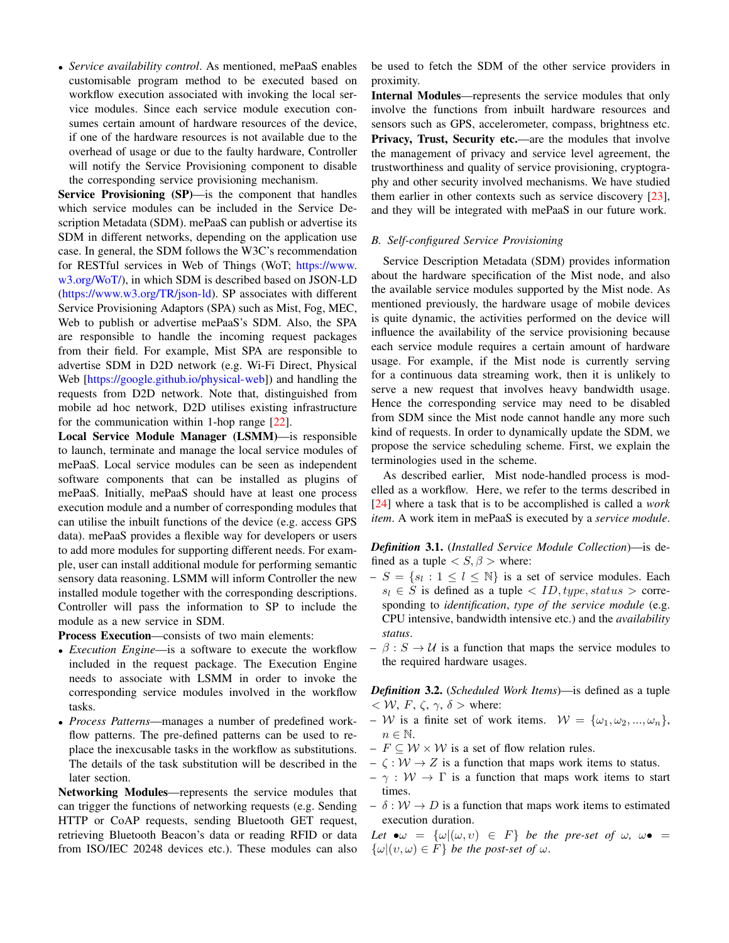• *Service availability control*. As mentioned, mePaaS enables customisable program method to be executed based on workflow execution associated with invoking the local service modules. Since each service module execution consumes certain amount of hardware resources of the device, if one of the hardware resources is not available due to the overhead of usage or due to the faulty hardware, Controller will notify the Service Provisioning component to disable the corresponding service provisioning mechanism.

Service Provisioning (SP)—is the component that handles which service modules can be included in the Service Description Metadata (SDM). mePaaS can publish or advertise its SDM in different networks, depending on the application use case. In general, the SDM follows the W3C's recommendation for RESTful services in Web of Things (WoT; [https://www.](https://www.w3.org/WoT/) [w3.org/WoT/\)](https://www.w3.org/WoT/), in which SDM is described based on JSON-LD [\(https://www.w3.org/TR/json-ld\)](https://www.w3.org/TR/json-ld). SP associates with different Service Provisioning Adaptors (SPA) such as Mist, Fog, MEC, Web to publish or advertise mePaaS's SDM. Also, the SPA are responsible to handle the incoming request packages from their field. For example, Mist SPA are responsible to advertise SDM in D2D network (e.g. Wi-Fi Direct, Physical Web [\[https://google.github.io/physical-web\]](https://google.github.io/physical-web)) and handling the requests from D2D network. Note that, distinguished from mobile ad hoc network, D2D utilises existing infrastructure for the communication within 1-hop range [\[22\]](#page-7-18).

Local Service Module Manager (LSMM)—is responsible to launch, terminate and manage the local service modules of mePaaS. Local service modules can be seen as independent software components that can be installed as plugins of mePaaS. Initially, mePaaS should have at least one process execution module and a number of corresponding modules that can utilise the inbuilt functions of the device (e.g. access GPS data). mePaaS provides a flexible way for developers or users to add more modules for supporting different needs. For example, user can install additional module for performing semantic sensory data reasoning. LSMM will inform Controller the new installed module together with the corresponding descriptions. Controller will pass the information to SP to include the module as a new service in SDM.

Process Execution—consists of two main elements:

- *Execution Engine*—is a software to execute the workflow included in the request package. The Execution Engine needs to associate with LSMM in order to invoke the corresponding service modules involved in the workflow tasks.
- *Process Patterns*—manages a number of predefined workflow patterns. The pre-defined patterns can be used to replace the inexcusable tasks in the workflow as substitutions. The details of the task substitution will be described in the later section.

Networking Modules—represents the service modules that can trigger the functions of networking requests (e.g. Sending HTTP or CoAP requests, sending Bluetooth GET request, retrieving Bluetooth Beacon's data or reading RFID or data from ISO/IEC 20248 devices etc.). These modules can also

be used to fetch the SDM of the other service providers in proximity.

Internal Modules—represents the service modules that only involve the functions from inbuilt hardware resources and sensors such as GPS, accelerometer, compass, brightness etc. Privacy, Trust, Security etc.—are the modules that involve the management of privacy and service level agreement, the trustworthiness and quality of service provisioning, cryptography and other security involved mechanisms. We have studied them earlier in other contexts such as service discovery [\[23\]](#page-7-19), and they will be integrated with mePaaS in our future work.

## *B. Self-configured Service Provisioning*

Service Description Metadata (SDM) provides information about the hardware specification of the Mist node, and also the available service modules supported by the Mist node. As mentioned previously, the hardware usage of mobile devices is quite dynamic, the activities performed on the device will influence the availability of the service provisioning because each service module requires a certain amount of hardware usage. For example, if the Mist node is currently serving for a continuous data streaming work, then it is unlikely to serve a new request that involves heavy bandwidth usage. Hence the corresponding service may need to be disabled from SDM since the Mist node cannot handle any more such kind of requests. In order to dynamically update the SDM, we propose the service scheduling scheme. First, we explain the terminologies used in the scheme.

As described earlier, Mist node-handled process is modelled as a workflow. Here, we refer to the terms described in [\[24\]](#page-7-20) where a task that is to be accomplished is called a *work item*. A work item in mePaaS is executed by a *service module*.

*Definition* 3.1. (*Installed Service Module Collection*)—is defined as a tuple  $\langle S, \beta \rangle$  where:

- $-S = \{s_l : 1 \leq l \leq N\}$  is a set of service modules. Each  $s_l \in S$  is defined as a tuple  $\langle ID, type, status \rangle$  corresponding to *identification*, *type of the service module* (e.g. CPU intensive, bandwidth intensive etc.) and the *availability status*.
- $\beta : S \to U$  is a function that maps the service modules to the required hardware usages.

*Definition* 3.2. (*Scheduled Work Items*)—is defined as a tuple  $< W$ ,  $F$ ,  $\zeta$ ,  $\gamma$ ,  $\delta >$  where:

- W is a finite set of work items.  $W = {\omega_1, \omega_2, ..., \omega_n}$ ,  $n \in \mathbb{N}$ .
- $F \subseteq W \times W$  is a set of flow relation rules.
- $\zeta : \mathcal{W} \to Z$  is a function that maps work items to status.
- $\gamma : \mathcal{W} \to \Gamma$  is a function that maps work items to start times.
- $\delta : \mathcal{W} \to D$  is a function that maps work items to estimated execution duration.

*Let*  $\bullet \omega = {\omega |(\omega, v) \in F}$  *be the pre-set of*  $\omega$ ,  $\omega \bullet =$  $\{\omega | (v, \omega) \in F\}$  *be the post-set of*  $\omega$ .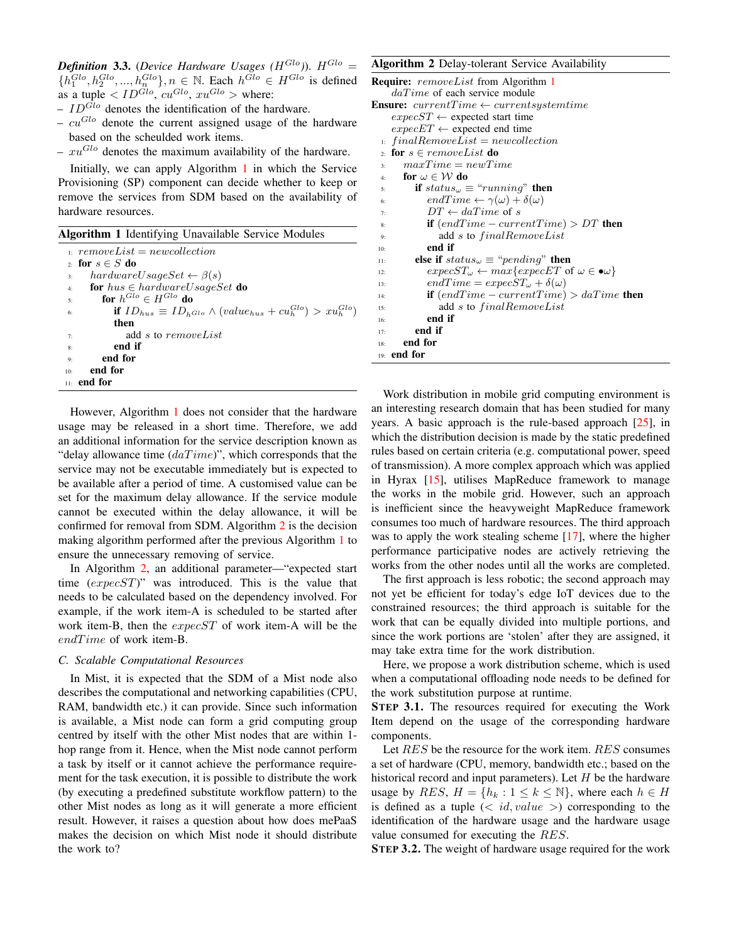*Definition* 3.3. (*Device Hardware Usages* ( $H^{Glo}$ )).  $H^{Glo}$  =  $\{h_1^{Glo}, h_2^{Glo},..., h_n^{Glo}\}, n \in \mathbb{N}$ . Each  $h^{Glo} \in H^{Glo}$  is defined as a tuple  $\langle ID^{Glo}, cu^{Glo}, xu^{Glo} \rangle$  where:

- $ID^{Glo}$  denotes the identification of the hardware.
- $cu^{Glo}$  denote the current assigned usage of the hardware based on the scheulded work items.
- $xu^{Glo}$  denotes the maximum availability of the hardware.

Initially, we can apply Algorithm [1](#page-3-0) in which the Service Provisioning (SP) component can decide whether to keep or remove the services from SDM based on the availability of hardware resources.

<span id="page-3-0"></span>

|  | Algorithm 1 Identifying Unavailable Service Modules |
|--|-----------------------------------------------------|
|--|-----------------------------------------------------|

|                | $n: removeList = newcollection$                                                  |
|----------------|----------------------------------------------------------------------------------|
|                | 2 for $s \in S$ do                                                               |
| 3:             | $hardwareUsageSet \leftarrow \beta(s)$                                           |
| 4:             | <b>for</b> $hus \in hardwareUsageSet$ <b>do</b>                                  |
| 5:             | for $h^{Glo} \in H^{Glo}$ do                                                     |
| 6:             | if $ID_{hus} \equiv ID_{h^{Glo}} \wedge (value_{hus} + cu_h^{Glo}) > xu_h^{Glo}$ |
|                | then                                                                             |
| 7:             | add s to removeList                                                              |
| 8:             | end if                                                                           |
| Q <sub>2</sub> | end for                                                                          |
| 10:            | end for                                                                          |
|                | $_{11:}$ end for                                                                 |

However, Algorithm [1](#page-3-0) does not consider that the hardware usage may be released in a short time. Therefore, we add an additional information for the service description known as "delay allowance time  $(daTime)$ ", which corresponds that the service may not be executable immediately but is expected to be available after a period of time. A customised value can be set for the maximum delay allowance. If the service module cannot be executed within the delay allowance, it will be confirmed for removal from SDM. Algorithm [2](#page-3-1) is the decision making algorithm performed after the previous Algorithm [1](#page-3-0) to ensure the unnecessary removing of service.

In Algorithm [2,](#page-3-1) an additional parameter—"expected start time  $(expecST)$ " was introduced. This is the value that needs to be calculated based on the dependency involved. For example, if the work item-A is scheduled to be started after work item-B, then the expecST of work item-A will be the  $end Time$  of work item-B.

# <span id="page-3-2"></span>*C. Scalable Computational Resources*

In Mist, it is expected that the SDM of a Mist node also describes the computational and networking capabilities (CPU, RAM, bandwidth etc.) it can provide. Since such information is available, a Mist node can form a grid computing group centred by itself with the other Mist nodes that are within 1 hop range from it. Hence, when the Mist node cannot perform a task by itself or it cannot achieve the performance requirement for the task execution, it is possible to distribute the work (by executing a predefined substitute workflow pattern) to the other Mist nodes as long as it will generate a more efficient result. However, it raises a question about how does mePaaS makes the decision on which Mist node it should distribute the work to?

<span id="page-3-1"></span>Algorithm 2 Delay-tolerant Service Availability

| <b>Require:</b> removeList from Algorithm 1                                               |
|-------------------------------------------------------------------------------------------|
| $daTime$ of each service module                                                           |
| <b>Ensure:</b> $currentTime \leftarrow currentsystemtime$                                 |
| $expecST \leftarrow$ expected start time                                                  |
| $expecET \leftarrow$ expected end time                                                    |
| $\sum_{i}$ finalRemoveList = newcollection                                                |
| 2 for $s \in removeList$ do                                                               |
| $maxTime = newTime$<br>$\ddot{\mathbf{3}}$                                                |
| for $\omega \in \mathcal{W}$ do<br>4:                                                     |
| if $status_{\omega} \equiv "running"$ then<br>5:                                          |
| $endTime \leftarrow \gamma(\omega) + \delta(\omega)$<br>6:                                |
| $DT \leftarrow daTime$ of s<br>7:                                                         |
| if $(endTime - currentTime) > DT$ then<br>8:                                              |
| add s to finalRemoveList<br>9:                                                            |
| end if<br>10:                                                                             |
| else if $status_{\omega} \equiv "pending"$ then<br>11:                                    |
| $expecST_{\omega} \leftarrow max\{expecET \text{ of } \omega \in \bullet \omega\}$<br>12: |
| $endTime = expecST_{\omega} + \delta(\omega)$<br>13:                                      |
| <b>if</b> $(endTime - currentTime) > daTime$ then<br>14:                                  |
| add s to finalRemoveList<br>15:                                                           |
| end if<br>16:                                                                             |
| end if<br>17:                                                                             |
| end for<br>18:                                                                            |
| $19:$ end for                                                                             |

Work distribution in mobile grid computing environment is an interesting research domain that has been studied for many years. A basic approach is the rule-based approach [\[25\]](#page-7-21), in which the distribution decision is made by the static predefined rules based on certain criteria (e.g. computational power, speed of transmission). A more complex approach which was applied in Hyrax [\[15\]](#page-7-22), utilises MapReduce framework to manage the works in the mobile grid. However, such an approach is inefficient since the heavyweight MapReduce framework consumes too much of hardware resources. The third approach was to apply the work stealing scheme [\[17\]](#page-7-13), where the higher performance participative nodes are actively retrieving the works from the other nodes until all the works are completed.

The first approach is less robotic; the second approach may not yet be efficient for today's edge IoT devices due to the constrained resources; the third approach is suitable for the work that can be equally divided into multiple portions, and since the work portions are 'stolen' after they are assigned, it may take extra time for the work distribution.

Here, we propose a work distribution scheme, which is used when a computational offloading node needs to be defined for the work substitution purpose at runtime.

STEP 3.1. The resources required for executing the Work Item depend on the usage of the corresponding hardware components.

Let RES be the resource for the work item. RES consumes a set of hardware (CPU, memory, bandwidth etc.; based on the historical record and input parameters). Let  $H$  be the hardware usage by  $RES, H = \{h_k : 1 \leq k \leq \mathbb{N}\}\)$ , where each  $h \in H$ is defined as a tuple  $\left\langle \langle \cdot | d, value \rangle \right\rangle$  corresponding to the identification of the hardware usage and the hardware usage value consumed for executing the RES.

STEP 3.2. The weight of hardware usage required for the work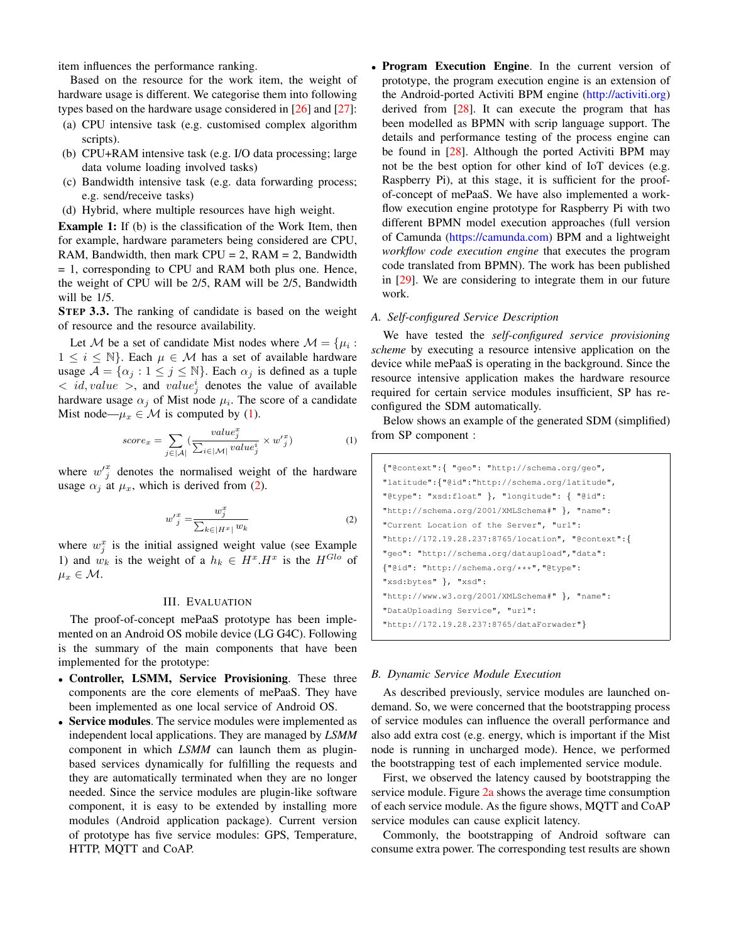item influences the performance ranking.

Based on the resource for the work item, the weight of hardware usage is different. We categorise them into following types based on the hardware usage considered in [\[26\]](#page-7-23) and [\[27\]](#page-7-24):

- (a) CPU intensive task (e.g. customised complex algorithm scripts).
- (b) CPU+RAM intensive task (e.g. I/O data processing; large data volume loading involved tasks)
- (c) Bandwidth intensive task (e.g. data forwarding process; e.g. send/receive tasks)
- (d) Hybrid, where multiple resources have high weight.

Example 1: If (b) is the classification of the Work Item, then for example, hardware parameters being considered are CPU, RAM, Bandwidth, then mark  $CPU = 2$ , RAM = 2, Bandwidth = 1, corresponding to CPU and RAM both plus one. Hence, the weight of CPU will be 2/5, RAM will be 2/5, Bandwidth will be 1/5.

STEP 3.3. The ranking of candidate is based on the weight of resource and the resource availability.

Let M be a set of candidate Mist nodes where  $\mathcal{M} = \{\mu_i :$  $1 \leq i \leq \mathbb{N}$ . Each  $\mu \in \mathcal{M}$  has a set of available hardware usage  $\mathcal{A} = \{ \alpha_j : 1 \leq j \leq \mathbb{N} \}$ . Each  $\alpha_j$  is defined as a tuple  $\langle \cdot | id, value \rangle$ , and  $value_j^i$  denotes the value of available hardware usage  $\alpha_j$  of Mist node  $\mu_i$ . The score of a candidate Mist node— $\mu_x \in \mathcal{M}$  is computed by [\(1\)](#page-4-0).

<span id="page-4-0"></span>
$$
score_x = \sum_{j \in |\mathcal{A}|} \left( \frac{value_j^x}{\sum_{i \in |\mathcal{M}|} value_j^i} \times w_j'^x \right) \tag{1}
$$

where  $w_j^x$  denotes the normalised weight of the hardware usage  $\alpha_j$  at  $\mu_x$ , which is derived from [\(2\)](#page-4-1).

$$
w'_{j}^{x} = \frac{w_{j}^{x}}{\sum_{k \in |H^{x}|} w_{k}}
$$
 (2)

<span id="page-4-1"></span>where  $w_j^x$  is the initial assigned weight value (see Example 1) and  $w_k$  is the weight of a  $h_k \in H^x \cdot H^x$  is the  $H^{Glo}$  of  $\mu_x \in \mathcal{M}.$ 

## III. EVALUATION

The proof-of-concept mePaaS prototype has been implemented on an Android OS mobile device (LG G4C). Following is the summary of the main components that have been implemented for the prototype:

- Controller, LSMM, Service Provisioning. These three components are the core elements of mePaaS. They have been implemented as one local service of Android OS.
- Service modules. The service modules were implemented as independent local applications. They are managed by *LSMM* component in which *LSMM* can launch them as pluginbased services dynamically for fulfilling the requests and they are automatically terminated when they are no longer needed. Since the service modules are plugin-like software component, it is easy to be extended by installing more modules (Android application package). Current version of prototype has five service modules: GPS, Temperature, HTTP, MQTT and CoAP.

• Program Execution Engine. In the current version of prototype, the program execution engine is an extension of the Android-ported Activiti BPM engine [\(http://activiti.org\)](http://activiti.org) derived from [\[28\]](#page-7-25). It can execute the program that has been modelled as BPMN with scrip language support. The details and performance testing of the process engine can be found in [\[28\]](#page-7-25). Although the ported Activiti BPM may not be the best option for other kind of IoT devices (e.g. Raspberry Pi), at this stage, it is sufficient for the proofof-concept of mePaaS. We have also implemented a workflow execution engine prototype for Raspberry Pi with two different BPMN model execution approaches (full version of Camunda [\(https://camunda.com\)](https://camunda.com) BPM and a lightweight *workflow code execution engine* that executes the program code translated from BPMN). The work has been published in [\[29\]](#page-7-26). We are considering to integrate them in our future work.

#### *A. Self-configured Service Description*

We have tested the *self-configured service provisioning scheme* by executing a resource intensive application on the device while mePaaS is operating in the background. Since the resource intensive application makes the hardware resource required for certain service modules insufficient, SP has reconfigured the SDM automatically.

Below shows an example of the generated SDM (simplified) from SP component :

| {"@context":{ "geo": "http://schema.org/geo",      |  |
|----------------------------------------------------|--|
| "latitude": {"@id": "http://schema.org/latitude",  |  |
| "@type": "xsd:float" }, "longitude": { "@id":      |  |
| "http://schema.org/2001/XMLSchema#" }, "name":     |  |
| "Current Location of the Server", "url":           |  |
| "http://172.19.28.237:8765/location", "@context":{ |  |
| "geo": "http://schema.org/dataupload", "data":     |  |
| {"@id": "http://schema.org/***","@type":           |  |
| "xsd:bytes" }, "xsd":                              |  |
| "http://www.w3.org/2001/XMLSchema#" }, "name":     |  |
| "DataUploading Service", "url":                    |  |
| "http://172.19.28.237:8765/dataForwader"}          |  |

## *B. Dynamic Service Module Execution*

As described previously, service modules are launched ondemand. So, we were concerned that the bootstrapping process of service modules can influence the overall performance and also add extra cost (e.g. energy, which is important if the Mist node is running in uncharged mode). Hence, we performed the bootstrapping test of each implemented service module.

First, we observed the latency caused by bootstrapping the service module. Figure [2a](#page-5-0) shows the average time consumption of each service module. As the figure shows, MQTT and CoAP service modules can cause explicit latency.

Commonly, the bootstrapping of Android software can consume extra power. The corresponding test results are shown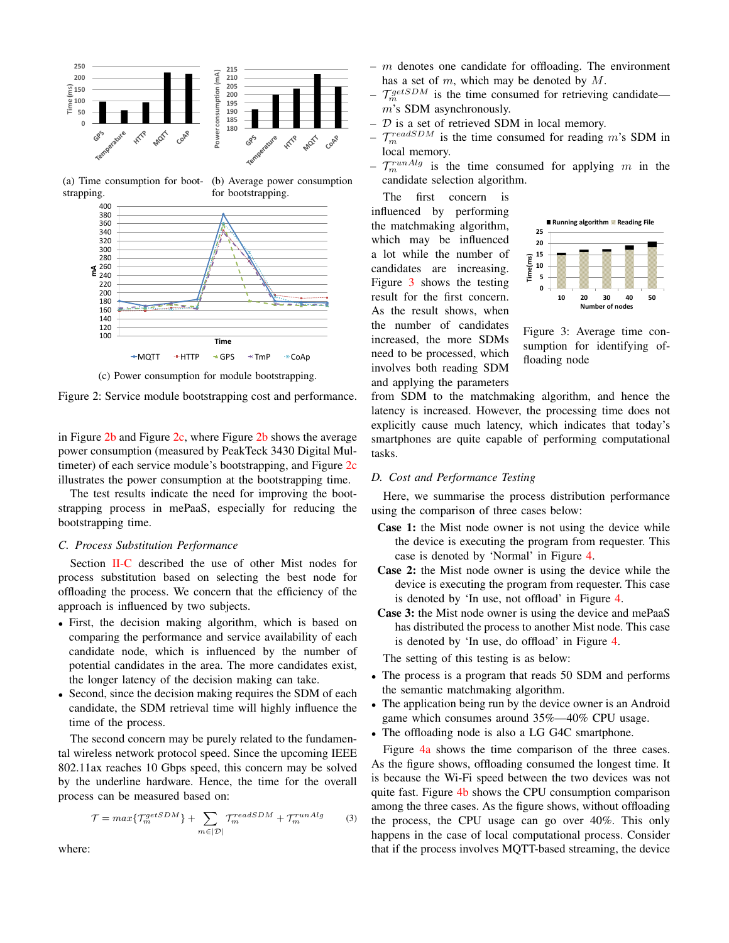<span id="page-5-0"></span>

(b) Average power consumption

(a) Time consumption for boot-

strapping. for bootstrapping. 400 380 360 340 320 300 280 **ุ≤** 260<br>⊾ิว⊿ก 240 220 200 180  $7 - 3 - 5 - 7$ 160 140 120 100 **Time**  $\rightarrow$ MQTT  $\rightarrow$  HTTP  $\rightarrow$  GPS  $\times$  TmP  $\times$  CoAp



Figure 2: Service module bootstrapping cost and performance.

in Figure  $2b$  and Figure  $2c$ , where Figure  $2b$  shows the average power consumption (measured by PeakTeck 3430 Digital Mul-timeter) of each service module's bootstrapping, and Figure [2c](#page-5-0) illustrates the power consumption at the bootstrapping time.

The test results indicate the need for improving the bootstrapping process in mePaaS, especially for reducing the bootstrapping time.

#### *C. Process Substitution Performance*

Section [II-C](#page-3-2) described the use of other Mist nodes for process substitution based on selecting the best node for offloading the process. We concern that the efficiency of the approach is influenced by two subjects.

- First, the decision making algorithm, which is based on comparing the performance and service availability of each candidate node, which is influenced by the number of potential candidates in the area. The more candidates exist, the longer latency of the decision making can take.
- Second, since the decision making requires the SDM of each candidate, the SDM retrieval time will highly influence the time of the process.

The second concern may be purely related to the fundamental wireless network protocol speed. Since the upcoming IEEE 802.11ax reaches 10 Gbps speed, this concern may be solved by the underline hardware. Hence, the time for the overall process can be measured based on:

$$
\mathcal{T} = \max\{\mathcal{T}_m^{getSDM}\} + \sum_{m \in |\mathcal{D}|} \mathcal{T}_m^{readSDM} + \mathcal{T}_m^{runAlg} \tag{3}
$$

where:

- $-$  m denotes one candidate for offloading. The environment has a set of  $m$ , which may be denoted by  $M$ .
- $\mathcal{T}_{m}^{getSDM}$  is the time consumed for retrieving candidate m's SDM asynchronously.
- $D$  is a set of retrieved SDM in local memory.
- $\mathcal{T}_{m}^{readSDM}$  is the time consumed for reading m's SDM in local memory.
- $\mathcal{T}_m^{runAlg}$  is the time consumed for applying m in the candidate selection algorithm.

The first concern is influenced by performing the matchmaking algorithm, which may be influenced a lot while the number of candidates are increasing. Figure [3](#page-5-1) shows the testing result for the first concern. As the result shows, when the number of candidates increased, the more SDMs need to be processed, which involves both reading SDM and applying the parameters

<span id="page-5-1"></span>

Figure 3: Average time consumption for identifying offloading node

from SDM to the matchmaking algorithm, and hence the latency is increased. However, the processing time does not explicitly cause much latency, which indicates that today's smartphones are quite capable of performing computational tasks.

# *D. Cost and Performance Testing*

Here, we summarise the process distribution performance using the comparison of three cases below:

- Case 1: the Mist node owner is not using the device while the device is executing the program from requester. This case is denoted by 'Normal' in Figure [4.](#page-6-0)
- Case 2: the Mist node owner is using the device while the device is executing the program from requester. This case is denoted by 'In use, not offload' in Figure [4.](#page-6-0)
- Case 3: the Mist node owner is using the device and mePaaS has distributed the process to another Mist node. This case is denoted by 'In use, do offload' in Figure [4.](#page-6-0)

The setting of this testing is as below:

- The process is a program that reads 50 SDM and performs the semantic matchmaking algorithm.
- The application being run by the device owner is an Android game which consumes around 35%—40% CPU usage.
- The offloading node is also a LG G4C smartphone.

Figure [4a](#page-6-0) shows the time comparison of the three cases. As the figure shows, offloading consumed the longest time. It is because the Wi-Fi speed between the two devices was not quite fast. Figure [4b](#page-6-0) shows the CPU consumption comparison among the three cases. As the figure shows, without offloading the process, the CPU usage can go over 40%. This only happens in the case of local computational process. Consider that if the process involves MQTT-based streaming, the device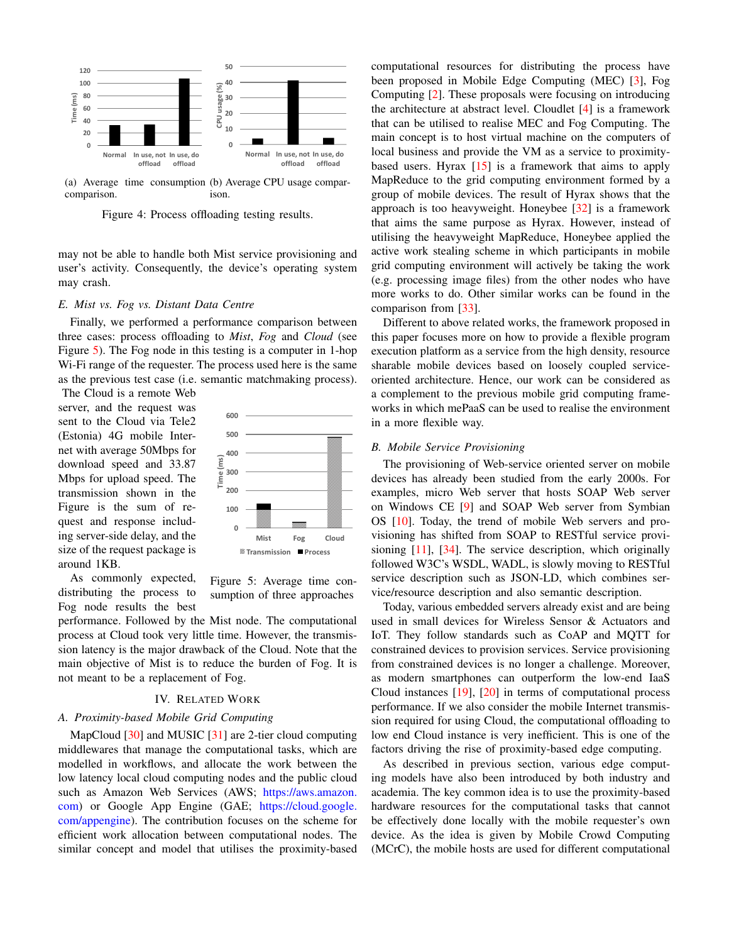<span id="page-6-0"></span>

(a) Average time consumption (b) Average CPU usage comparcomparison. ison.

Figure 4: Process offloading testing results.

may not be able to handle both Mist service provisioning and user's activity. Consequently, the device's operating system may crash.

# *E. Mist vs. Fog vs. Distant Data Centre*

Finally, we performed a performance comparison between three cases: process offloading to *Mist*, *Fog* and *Cloud* (see Figure [5\)](#page-6-1). The Fog node in this testing is a computer in 1-hop Wi-Fi range of the requester. The process used here is the same as the previous test case (i.e. semantic matchmaking process).

The Cloud is a remote Web server, and the request was sent to the Cloud via Tele2 (Estonia) 4G mobile Internet with average 50Mbps for download speed and 33.87 Mbps for upload speed. The transmission shown in the Figure is the sum of request and response including server-side delay, and the size of the request package is around 1KB.

<span id="page-6-1"></span>

As commonly expected, distributing the process to Fog node results the best

Figure 5: Average time consumption of three approaches

performance. Followed by the Mist node. The computational process at Cloud took very little time. However, the transmission latency is the major drawback of the Cloud. Note that the main objective of Mist is to reduce the burden of Fog. It is not meant to be a replacement of Fog.

#### IV. RELATED WORK

#### *A. Proximity-based Mobile Grid Computing*

MapCloud [\[30\]](#page-7-27) and MUSIC [\[31\]](#page-7-28) are 2-tier cloud computing middlewares that manage the computational tasks, which are modelled in workflows, and allocate the work between the low latency local cloud computing nodes and the public cloud such as Amazon Web Services (AWS; [https://aws.amazon.](https://aws.amazon.com) [com\)](https://aws.amazon.com) or Google App Engine (GAE; [https://cloud.google.](https://cloud.google.com/appengine) [com/appengine\)](https://cloud.google.com/appengine). The contribution focuses on the scheme for efficient work allocation between computational nodes. The similar concept and model that utilises the proximity-based

computational resources for distributing the process have been proposed in Mobile Edge Computing (MEC) [\[3\]](#page-7-2), Fog Computing [\[2\]](#page-7-1). These proposals were focusing on introducing the architecture at abstract level. Cloudlet [\[4\]](#page-7-3) is a framework that can be utilised to realise MEC and Fog Computing. The main concept is to host virtual machine on the computers of local business and provide the VM as a service to proximitybased users. Hyrax [\[15\]](#page-7-22) is a framework that aims to apply MapReduce to the grid computing environment formed by a group of mobile devices. The result of Hyrax shows that the approach is too heavyweight. Honeybee [\[32\]](#page-7-29) is a framework that aims the same purpose as Hyrax. However, instead of utilising the heavyweight MapReduce, Honeybee applied the active work stealing scheme in which participants in mobile grid computing environment will actively be taking the work (e.g. processing image files) from the other nodes who have more works to do. Other similar works can be found in the comparison from [\[33\]](#page-7-30).

Different to above related works, the framework proposed in this paper focuses more on how to provide a flexible program execution platform as a service from the high density, resource sharable mobile devices based on loosely coupled serviceoriented architecture. Hence, our work can be considered as a complement to the previous mobile grid computing frameworks in which mePaaS can be used to realise the environment in a more flexible way.

# *B. Mobile Service Provisioning*

The provisioning of Web-service oriented server on mobile devices has already been studied from the early 2000s. For examples, micro Web server that hosts SOAP Web server on Windows CE [\[9\]](#page-7-8) and SOAP Web server from Symbian OS [\[10\]](#page-7-31). Today, the trend of mobile Web servers and provisioning has shifted from SOAP to RESTful service provisioning  $[11]$ ,  $[34]$ . The service description, which originally followed W3C's WSDL, WADL, is slowly moving to RESTful service description such as JSON-LD, which combines service/resource description and also semantic description.

Today, various embedded servers already exist and are being used in small devices for Wireless Sensor & Actuators and IoT. They follow standards such as CoAP and MQTT for constrained devices to provision services. Service provisioning from constrained devices is no longer a challenge. Moreover, as modern smartphones can outperform the low-end IaaS Cloud instances [\[19\]](#page-7-15), [\[20\]](#page-7-16) in terms of computational process performance. If we also consider the mobile Internet transmission required for using Cloud, the computational offloading to low end Cloud instance is very inefficient. This is one of the factors driving the rise of proximity-based edge computing.

As described in previous section, various edge computing models have also been introduced by both industry and academia. The key common idea is to use the proximity-based hardware resources for the computational tasks that cannot be effectively done locally with the mobile requester's own device. As the idea is given by Mobile Crowd Computing (MCrC), the mobile hosts are used for different computational